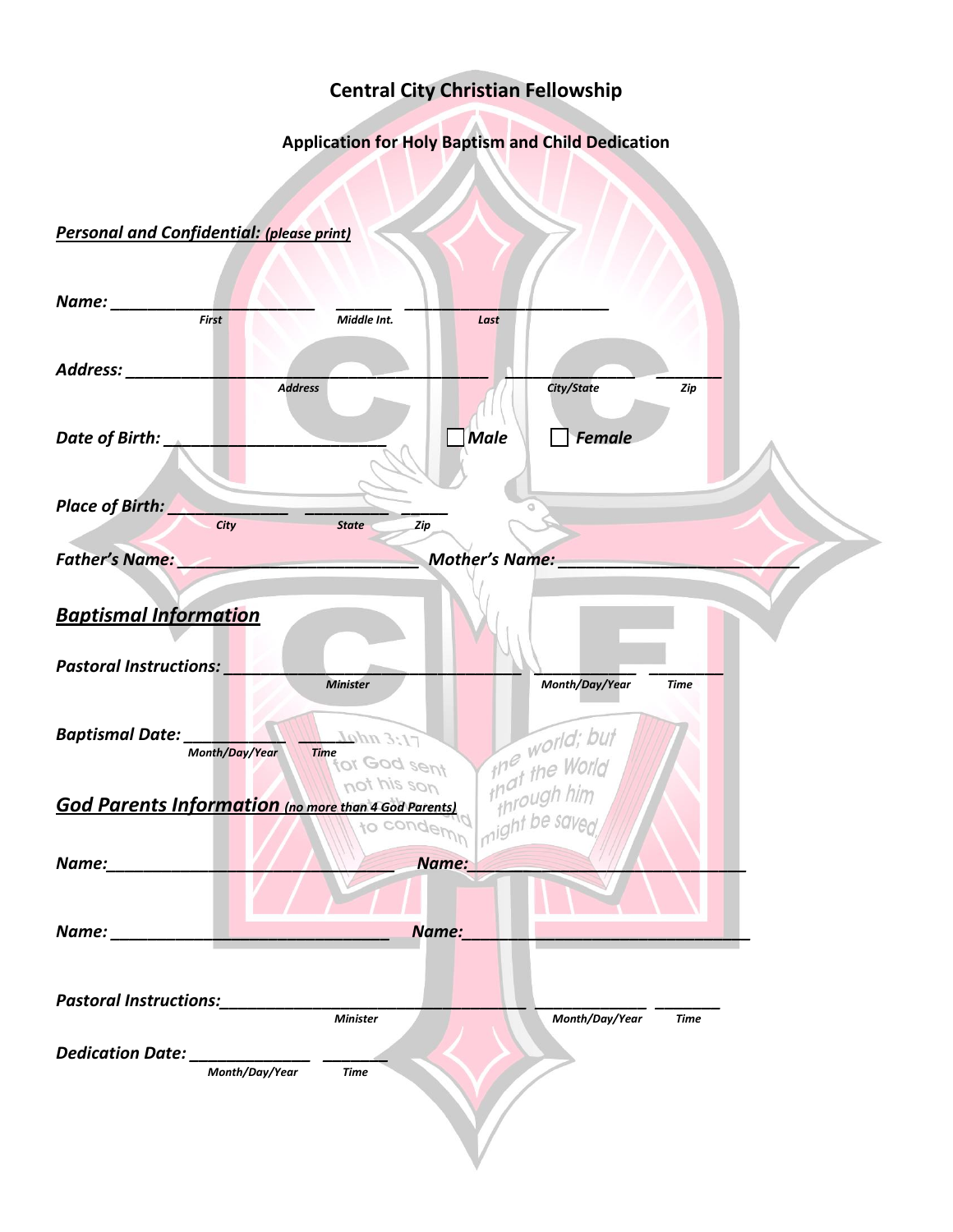## **Central City Christian Fellowship**

## **Application for Holy Baptism and Child Dedication**

## *Personal and Confidential: (please print)*

| Name:<br>First                                              | Middle Int.                 | Last                  |                                             |             |  |
|-------------------------------------------------------------|-----------------------------|-----------------------|---------------------------------------------|-------------|--|
|                                                             |                             |                       |                                             |             |  |
| Address:                                                    |                             |                       |                                             |             |  |
|                                                             | <b>Address</b>              |                       | City/State                                  | Zip         |  |
|                                                             |                             |                       |                                             |             |  |
| Date of Birth:                                              |                             | <b>Male</b>           | Female                                      |             |  |
|                                                             |                             |                       |                                             |             |  |
|                                                             |                             |                       |                                             |             |  |
| Place of Birth:                                             |                             |                       |                                             |             |  |
| City                                                        | <b>State</b><br>Zip         |                       |                                             |             |  |
| <b>Father's Name:</b>                                       |                             | <b>Mother's Name:</b> |                                             |             |  |
|                                                             |                             |                       |                                             |             |  |
| <b>Baptismal Information</b>                                |                             |                       |                                             |             |  |
|                                                             |                             |                       |                                             |             |  |
| <b>Pastoral Instructions:</b>                               |                             |                       |                                             |             |  |
|                                                             | <b>Minister</b>             |                       | Month/Day/Year                              | <b>Time</b> |  |
|                                                             |                             |                       |                                             |             |  |
| <b>Baptismal Date:</b>                                      | Lohn 3:17                   |                       |                                             |             |  |
| Month/Day/Year                                              | <b>Time</b><br>for God sent |                       | world; but<br>that the World<br>through him |             |  |
|                                                             | not his son                 |                       |                                             |             |  |
| <b>God Parents Information</b> (no more than 4 God Parents) |                             | jaht be so            |                                             |             |  |
|                                                             | to condemy                  |                       |                                             |             |  |
| Name:                                                       |                             | Name:                 |                                             |             |  |
|                                                             |                             |                       |                                             |             |  |
|                                                             |                             |                       |                                             |             |  |
| Name: ___________                                           |                             | Name:                 |                                             |             |  |
|                                                             |                             |                       |                                             |             |  |
|                                                             |                             |                       |                                             |             |  |
| <b>Pastoral Instructions:</b>                               | <b>Minister</b>             |                       | Month/Day/Year                              | <b>Time</b> |  |
|                                                             |                             |                       |                                             |             |  |
| Dedication Date:<br>Month/Day/Year                          | <b>Time</b>                 |                       |                                             |             |  |
|                                                             |                             |                       |                                             |             |  |
|                                                             |                             |                       |                                             |             |  |
|                                                             |                             |                       |                                             |             |  |
|                                                             |                             |                       |                                             |             |  |